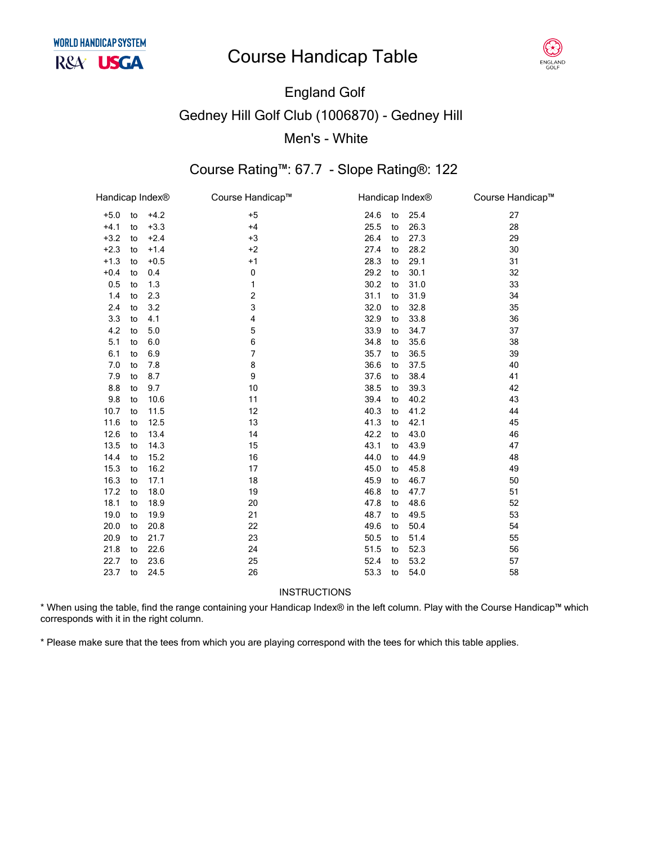## **Course Handicap Table**



# **England Golf Gedney Hill Golf Club (1006870) - Gedney Hill** Men's - White

### Course Rating™: 67.7 - Slope Rating®: 122

| Handicap Index® |    |        | Course Handicap™ | Handicap Index® |    |      | Course Handicap™ |
|-----------------|----|--------|------------------|-----------------|----|------|------------------|
| $+5.0$          | to | $+4.2$ | $+5$             | 24.6            | to | 25.4 | 27               |
| $+4.1$          | to | $+3.3$ | $+4$             | 25.5            | to | 26.3 | 28               |
| $+3.2$          | to | $+2.4$ | $+3$             | 26.4            | to | 27.3 | 29               |
| $+2.3$          | to | $+1.4$ | $+2$             | 27.4            | to | 28.2 | 30               |
| $+1.3$          | to | $+0.5$ | $+1$             | 28.3            | to | 29.1 | 31               |
| $+0.4$          | to | 0.4    | 0                | 29.2            | to | 30.1 | 32               |
| 0.5             | to | 1.3    | 1                | 30.2            | to | 31.0 | 33               |
| 1.4             | to | 2.3    | $\mathbf 2$      | 31.1            | to | 31.9 | 34               |
| 2.4             | to | 3.2    | 3                | 32.0            | to | 32.8 | 35               |
| 3.3             | to | 4.1    | 4                | 32.9            | to | 33.8 | 36               |
| 4.2             | to | 5.0    | 5                | 33.9            | to | 34.7 | 37               |
| 5.1             | to | 6.0    | 6                | 34.8            | to | 35.6 | 38               |
| 6.1             | to | 6.9    | 7                | 35.7            | to | 36.5 | 39               |
| 7.0             | to | 7.8    | 8                | 36.6            | to | 37.5 | 40               |
| 7.9             | to | 8.7    | 9                | 37.6            | to | 38.4 | 41               |
| 8.8             | to | 9.7    | 10               | 38.5            | to | 39.3 | 42               |
| 9.8             | to | 10.6   | 11               | 39.4            | to | 40.2 | 43               |
| 10.7            | to | 11.5   | 12               | 40.3            | to | 41.2 | 44               |
| 11.6            | to | 12.5   | 13               | 41.3            | to | 42.1 | 45               |
| 12.6            | to | 13.4   | 14               | 42.2            | to | 43.0 | 46               |
| 13.5            | to | 14.3   | 15               | 43.1            | to | 43.9 | 47               |
| 14.4            | to | 15.2   | 16               | 44.0            | to | 44.9 | 48               |
| 15.3            | to | 16.2   | 17               | 45.0            | to | 45.8 | 49               |
| 16.3            | to | 17.1   | 18               | 45.9            | to | 46.7 | 50               |
| 17.2            | to | 18.0   | 19               | 46.8            | to | 47.7 | 51               |
| 18.1            | to | 18.9   | 20               | 47.8            | to | 48.6 | 52               |
| 19.0            | to | 19.9   | 21               | 48.7            | to | 49.5 | 53               |
| 20.0            | to | 20.8   | 22               | 49.6            | to | 50.4 | 54               |
| 20.9            | to | 21.7   | 23               | 50.5            | to | 51.4 | 55               |
| 21.8            | to | 22.6   | 24               | 51.5            | to | 52.3 | 56               |
| 22.7            | to | 23.6   | 25               | 52.4            | to | 53.2 | 57               |
| 23.7            | to | 24.5   | 26               | 53.3            | to | 54.0 | 58               |

**INSTRUCTIONS** 

\* When using the table, find the range containing your Handicap Index® in the left column. Play with the Course Handicap™ which corresponds with it in the right column.

\* Please make sure that the tees from which you are playing correspond with the tees for which this table applies.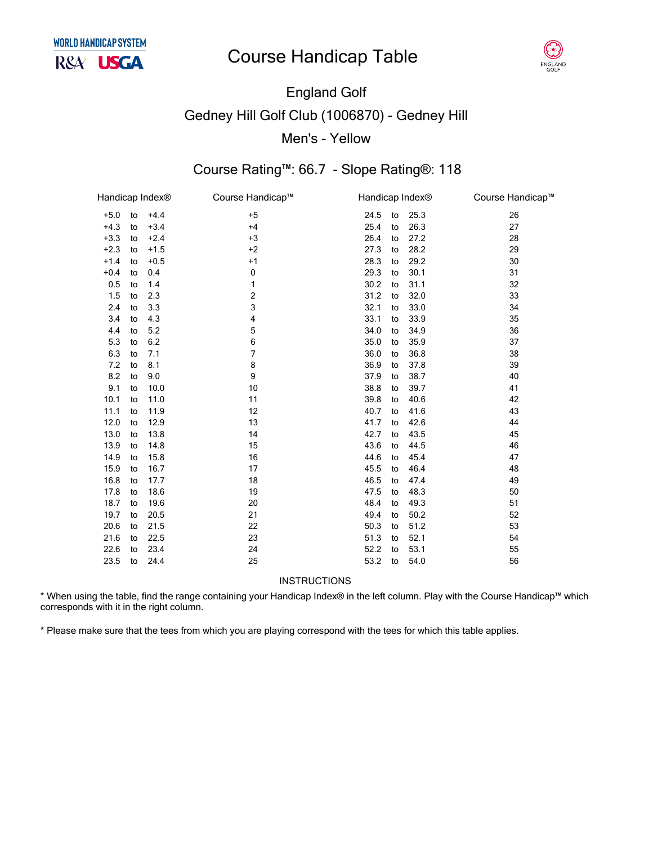## **Course Handicap Table**



# England Golf Gedney Hill Golf Club (1006870) - Gedney Hill Men's - Yellow

### Course Rating™: 66.7 - Slope Rating®: 118

| Handicap Index® |    |        | Course Handicap™ | Handicap Index® |    |      | Course Handicap™ |
|-----------------|----|--------|------------------|-----------------|----|------|------------------|
| $+5.0$          | to | $+4.4$ | $+5$             | 24.5            | to | 25.3 | 26               |
| $+4.3$          | to | $+3.4$ | $+4$             | 25.4            | to | 26.3 | 27               |
| $+3.3$          | to | $+2.4$ | $+3$             | 26.4            | to | 27.2 | 28               |
| $+2.3$          | to | $+1.5$ | $+2$             | 27.3            | to | 28.2 | 29               |
| $+1.4$          | to | $+0.5$ | $+1$             | 28.3            | to | 29.2 | 30               |
| $+0.4$          | to | 0.4    | 0                | 29.3            | to | 30.1 | 31               |
| 0.5             | to | 1.4    | 1                | 30.2            | to | 31.1 | 32               |
| 1.5             | to | 2.3    | 2                | 31.2            | to | 32.0 | 33               |
| 2.4             | to | 3.3    | 3                | 32.1            | to | 33.0 | 34               |
| 3.4             | to | 4.3    | 4                | 33.1            | to | 33.9 | 35               |
| 4.4             | to | 5.2    | 5                | 34.0            | to | 34.9 | 36               |
| 5.3             | to | 6.2    | 6                | 35.0            | to | 35.9 | 37               |
| 6.3             | to | 7.1    | $\overline{7}$   | 36.0            | to | 36.8 | 38               |
| 7.2             | to | 8.1    | 8                | 36.9            | to | 37.8 | 39               |
| 8.2             | to | 9.0    | 9                | 37.9            | to | 38.7 | 40               |
| 9.1             | to | 10.0   | 10               | 38.8            | to | 39.7 | 41               |
| 10.1            | to | 11.0   | 11               | 39.8            | to | 40.6 | 42               |
| 11.1            | to | 11.9   | 12               | 40.7            | to | 41.6 | 43               |
| 12.0            | to | 12.9   | 13               | 41.7            | to | 42.6 | 44               |
| 13.0            | to | 13.8   | 14               | 42.7            | to | 43.5 | 45               |
| 13.9            | to | 14.8   | 15               | 43.6            | to | 44.5 | 46               |
| 14.9            | to | 15.8   | 16               | 44.6            | to | 45.4 | 47               |
| 15.9            | to | 16.7   | 17               | 45.5            | to | 46.4 | 48               |
| 16.8            | to | 17.7   | 18               | 46.5            | to | 47.4 | 49               |
| 17.8            | to | 18.6   | 19               | 47.5            | to | 48.3 | 50               |
| 18.7            | to | 19.6   | 20               | 48.4            | to | 49.3 | 51               |
| 19.7            | to | 20.5   | 21               | 49.4            | to | 50.2 | 52               |
| 20.6            | to | 21.5   | 22               | 50.3            | to | 51.2 | 53               |
| 21.6            | to | 22.5   | 23               | 51.3            | to | 52.1 | 54               |
| 22.6            | to | 23.4   | 24               | 52.2            | to | 53.1 | 55               |
| 23.5            | to | 24.4   | 25               | 53.2            | to | 54.0 | 56               |
|                 |    |        |                  |                 |    |      |                  |

INSTRUCTIONS

\* When using the table, find the range containing your Handicap Index® in the left column. Play with the Course Handicap™ which corresponds with it in the right column.

\* Please make sure that the tees from which you are playing correspond with the tees for which this table applies.